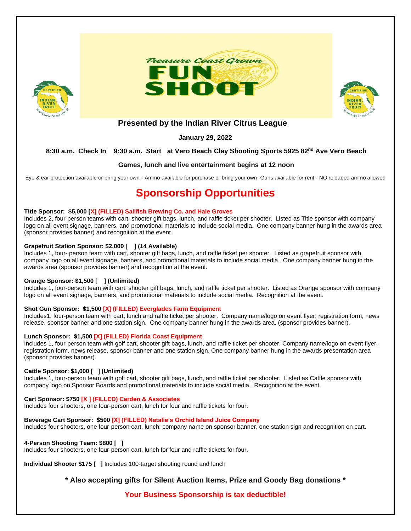





## **Presented by the Indian River Citrus League**

**January 29, 2022**

## **8:30 a.m. Check In 9:30 a.m. Start at Vero Beach Clay Shooting Sports 5925 82nd Ave Vero Beach**

## **Games, lunch and live entertainment begins at 12 noon**

Eye & ear protection available or bring your own - Ammo available for purchase or bring your own -Guns available for rent - NO reloaded ammo allowed

# **Sponsorship Opportunities**

#### **Title Sponsor: \$5,000 [X] (FILLED) Sailfish Brewing Co. and Hale Groves**

Includes 2, four-person teams with cart, shooter gift bags, lunch, and raffle ticket per shooter. Listed as Title sponsor with company logo on all event signage, banners, and promotional materials to include social media. One company banner hung in the awards area (sponsor provides banner) and recognition at the event.

## **Grapefruit Station Sponsor: \$2,000 [ ] (14 Available)**

Includes 1, four- person team with cart, shooter gift bags, lunch, and raffle ticket per shooter. Listed as grapefruit sponsor with company logo on all event signage, banners, and promotional materials to include social media. One company banner hung in the awards area (sponsor provides banner) and recognition at the event.

#### **Orange Sponsor: \$1,500 [ ] (Unlimited)**

Includes 1, four-person team with cart, shooter gift bags, lunch, and raffle ticket per shooter. Listed as Orange sponsor with company logo on all event signage, banners, and promotional materials to include social media. Recognition at the event.

#### **Shot Gun Sponsor: \$1,500 [X] (FILLED) Everglades Farm Equipment**

Includes1, four-person team with cart, lunch and raffle ticket per shooter. Company name/logo on event flyer, registration form, news release, sponsor banner and one station sign. One company banner hung in the awards area, (sponsor provides banner).

#### **Lunch Sponsor: \$1,500 [X] (FILLED) Florida Coast Equipment**

Includes 1, four-person team with golf cart, shooter gift bags, lunch, and raffle ticket per shooter. Company name/logo on event flyer, registration form, news release, sponsor banner and one station sign. One company banner hung in the awards presentation area (sponsor provides banner).

#### **Cattle Sponsor: \$1,000 [ ] (Unlimited)**

Includes 1, four-person team with golf cart, shooter gift bags, lunch, and raffle ticket per shooter. Listed as Cattle sponsor with company logo on Sponsor Boards and promotional materials to include social media. Recognition at the event.

#### **Cart Sponsor: \$750 [X ] (FILLED) Carden & Associates**

Includes four shooters, one four-person cart, lunch for four and raffle tickets for four.

#### **Beverage Cart Sponsor: \$500 [X] (FILLED) Natalie's Orchid Island Juice Company**

Includes four shooters, one four-person cart, lunch; company name on sponsor banner, one station sign and recognition on cart.

## **4-Person Shooting Team: \$800 [ ]**

Includes four shooters, one four-person cart, lunch for four and raffle tickets for four.

**Individual Shooter \$175 [ ]** Includes 100-target shooting round and lunch

## **\* Also accepting gifts for Silent Auction Items, Prize and Goody Bag donations \***

## **Your Business Sponsorship is tax deductible!**